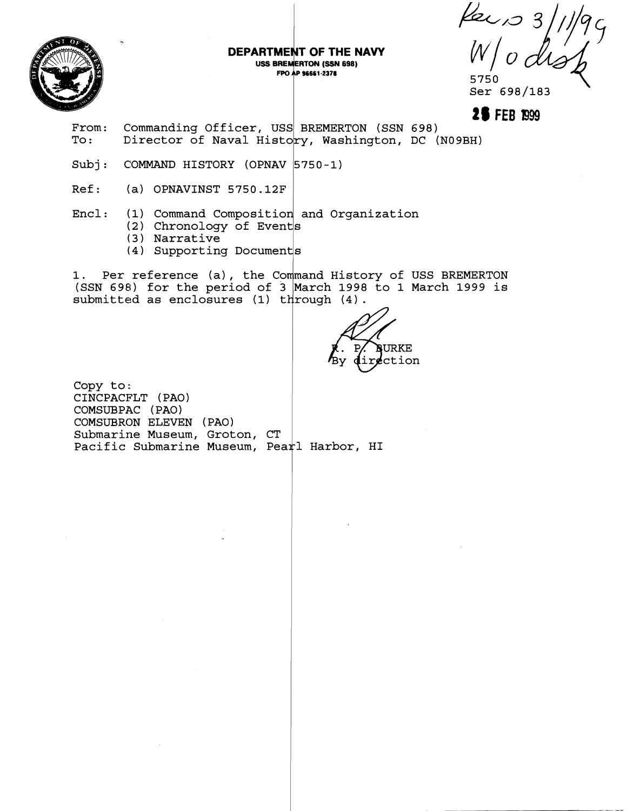

DEPARTMENT OF THE NAVY **USS BREMERTON (SSN 698)** FPO AP 96661-2378

 $\frac{\beta}{\beta}$ 5750 Ser 698/183

**2a FEB 899** 

From: Commanding Officer, USS BREMERTON (SSN 698)<br>To: Director of Naval History, Washington, DC ( Director of Naval History, Washington, DC (N09BH)

Subj: COMMAND HISTORY (OPNAV 5750-1)

Ref: (a) OPNAVINST 5750.12F

Encl: (1) Command Composition and Organization

- (2) Chronology of Events
- (3) Narrative
- (4) Supporting Documents

1. Per reference (a), the Command History of USS BREMERTON (SSN 698) for the period of 3 March 1998 to 1 March 1999 is submitted as enclosures (1) through (4).

URKE ction

Copy to: CINCPACFLT (PAO) COMSUBPAC ( PAO) COMSUBRON ELEVEN (PAO) Submarine Museum, Groton, CT Pacific Submarine Museum, Pearl Harbor, HI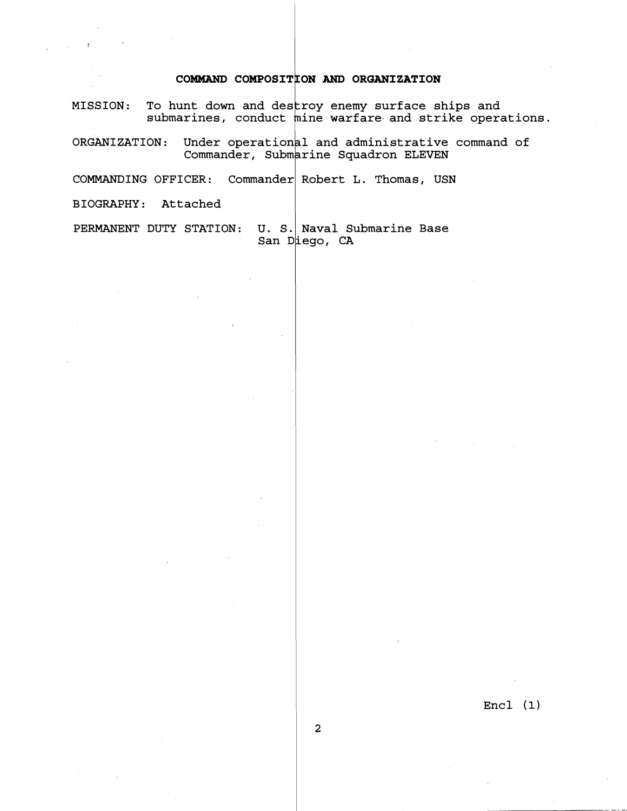## **COMMAND COMPOSIT ON AND ORGANIZATION I**

<code>MISSION: To hunt down and des $\mathop{\sf t}{\rm row}$  enemy surface ships and</code> submarines, conduct  $\stackrel{}{\textrm{min}}$  warfare and strike operations.

ORGANIZATION: Under operational and administrative command of<br>Commander, Submarine Squadron ELEVEN

 $\vert$ 

COMMANDING OFFICER: Commander Robert L. Thomas, USN

BIOGRAPHY: Attached 1

PERMANENT DUTY STATION: U. S. Naval Submarine Base San Diego, CA

Encl **(1)**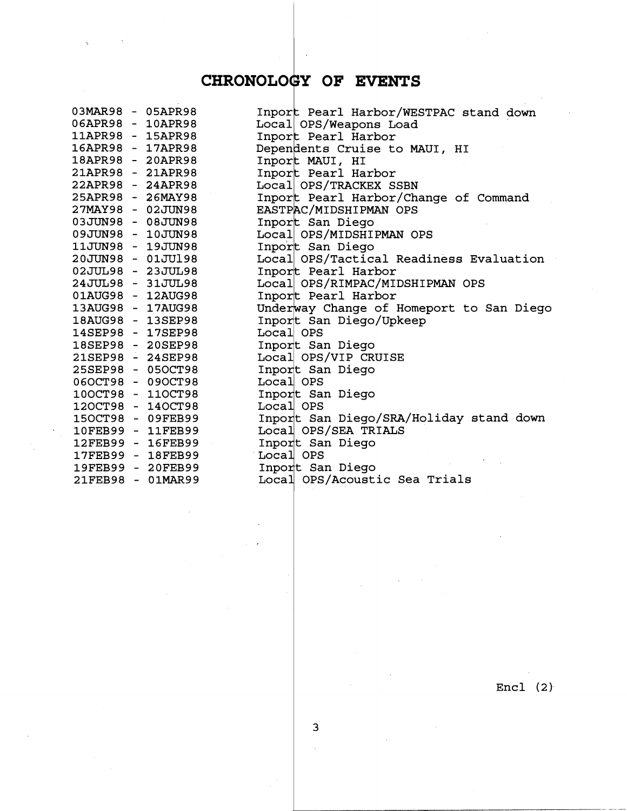## CHRONOLOGY OF EVENTS

| 03MAR98 - 05APR98 |                   | Inport Pearl Harbor/WESTPAC stand down   |
|-------------------|-------------------|------------------------------------------|
| 06APR98 - 10APR98 |                   | Local OPS/Weapons Load                   |
| 11APR98 - 15APR98 |                   | Inport Pearl Harbor                      |
| 16APR98 - 17APR98 |                   | Dependents Cruise to MAUI, HI            |
| 18APR98 - 20APR98 |                   | Inport MAUI, HI                          |
| 21APR98 - 21APR98 |                   | Inport Pearl Harbor                      |
| 22APR98 - 24APR98 |                   | Local OPS/TRACKEX SSBN                   |
| 25APR98 - 26MAY98 |                   | Inport Pearl Harbor/Change of Command    |
| 27MAY98 - 02JUN98 |                   | EASTPAC/MIDSHIPMAN OPS                   |
| 03JUN98 - 08JUN98 |                   | Inport San Diego                         |
| 09JUN98 - 10JUN98 |                   | Local OPS/MIDSHIPMAN OPS                 |
| 11JUN98 - 19JUN98 |                   | Inport San Diego                         |
| 20JUN98 - 01JU198 |                   | Local OPS/Tactical Readiness Evaluation  |
| 02JUL98 - 23JUL98 |                   | Inport Pearl Harbor                      |
|                   | 24JUL98 - 31JUL98 | Local OPS/RIMPAC/MIDSHIPMAN OPS          |
| 01AUG98 - 12AUG98 |                   | Inport Pearl Harbor                      |
| 13AUG98 - 17AUG98 |                   | Underway Change of Homeport to San Diego |
| 18AUG98 - 13SEP98 |                   | Inport San Diego/Upkeep                  |
| 14SEP98 - 17SEP98 |                   | Local OPS                                |
|                   | 18SEP98 - 20SEP98 | Inport San Diego                         |
|                   | 21SEP98 - 24SEP98 | Local OPS/VIP CRUISE                     |
|                   | 25SEP98 - 05OCT98 | Inport San Diego                         |
|                   | 060CT98 - 090CT98 | Local OPS                                |
| 100CT98 -         | 110CT98           | Inport San Diego                         |
|                   | 120CT98 - 140CT98 | Local OPS                                |
|                   | 150CT98 - 09FEB99 | Inport San Diego/SRA/Holiday stand down  |
|                   | 10FEB99 - 11FEB99 | Local OPS/SEA TRIALS                     |
|                   | 12FEB99 - 16FEB99 | Inport San Diego                         |
| 17FEB99 -         | 18FEB99           | Local OPS                                |
|                   | 19FEB99 - 20FEB99 | Inport San Diego                         |
|                   | 21FEB98 - 01MAR99 | Local OPS/Acoustic Sea Trials            |

Encl (2)

 $\overline{\mathbf{3}}$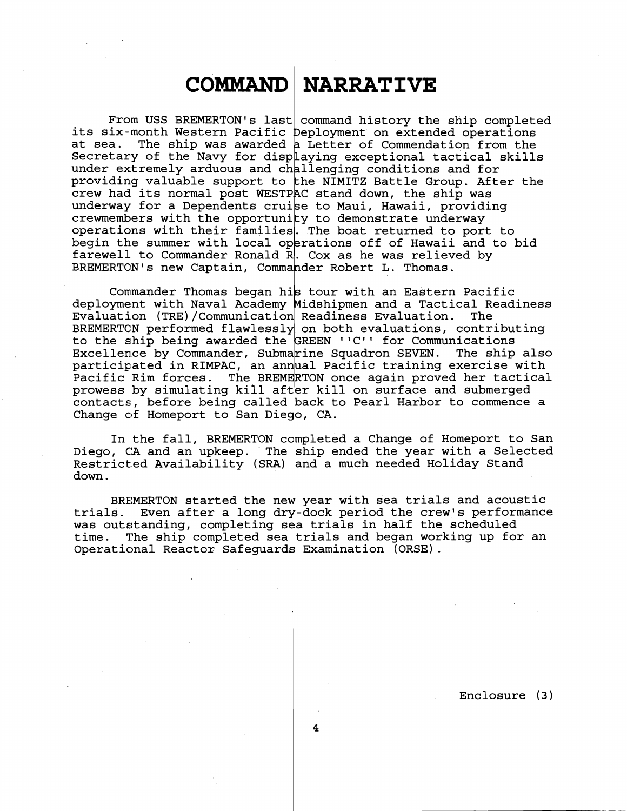## **COMMAND NARRATIVE**

From USS BREMERTON's last command history the ship completed its six-month Western Pacific Deployment on extended operations at sea. The ship was awarded a Letter of Commendation from the Secretary of the Navy for displaying exceptional tactical skills under extremely arduous and challenging conditions and for providing valuable support to 'he NIMITZ Battle Group. After the crew had its normal post WESTPAC stand down, the ship was underway for a Dependents cruise to Maui, Hawaii, providing crewmembers with the opportunity to demonstrate underway operations with their families. The boat returned to port to begin the summer with local operations off of Hawaii and to bid farewell to Commander Ronald  $\bar{\texttt{R}}$ . Cox as he was relieved by BREMERTON's new Captain, Comma<mark>nder Robert L. Thomas.</mark>

Commander Thomas began his tour with an Eastern Pacific deployment with Naval Academy Midshipmen and a Tactical Readiness Evaluation (TRE)/Communication Readiness Evaluation. The<br>BREMERTON performed flawlessly on both evaluations, contributing<br>to the ship being awarded the GREEN ''C'' for Communications Excellence by Commander, Submarine Squadron SEVEN. The ship also participated in RIMPAC, an annual Pacific training exercise with Pacific Rim forces. The BREMERTON once again proved her tactical prowess by simulating kill after kill on surface and submerged contacts, before being called back to Pearl Harbor to commence a Change of Homeport to San Diego, CA.

In the fall, BREMERTON completed a Change of Homeport to San Diego, CA and an upkeep. The ship ended the year with a Selected Restricted Availability (SRA) and a much needed Holiday Stand down.

BREMERTON started the new year with sea trials and acoustic trials. Even after a long dry-dock period the crew's performance was outstanding, completing sea trials in half the scheduled<br>time. The ship completed sea trials and began working up for<br>Operational Reactor Safeguards Examination (ORSE). time. The ship completed sea trials and began working up for an Operational Reactor Safeguards Examination (ORSE).

Enclosure (3 )